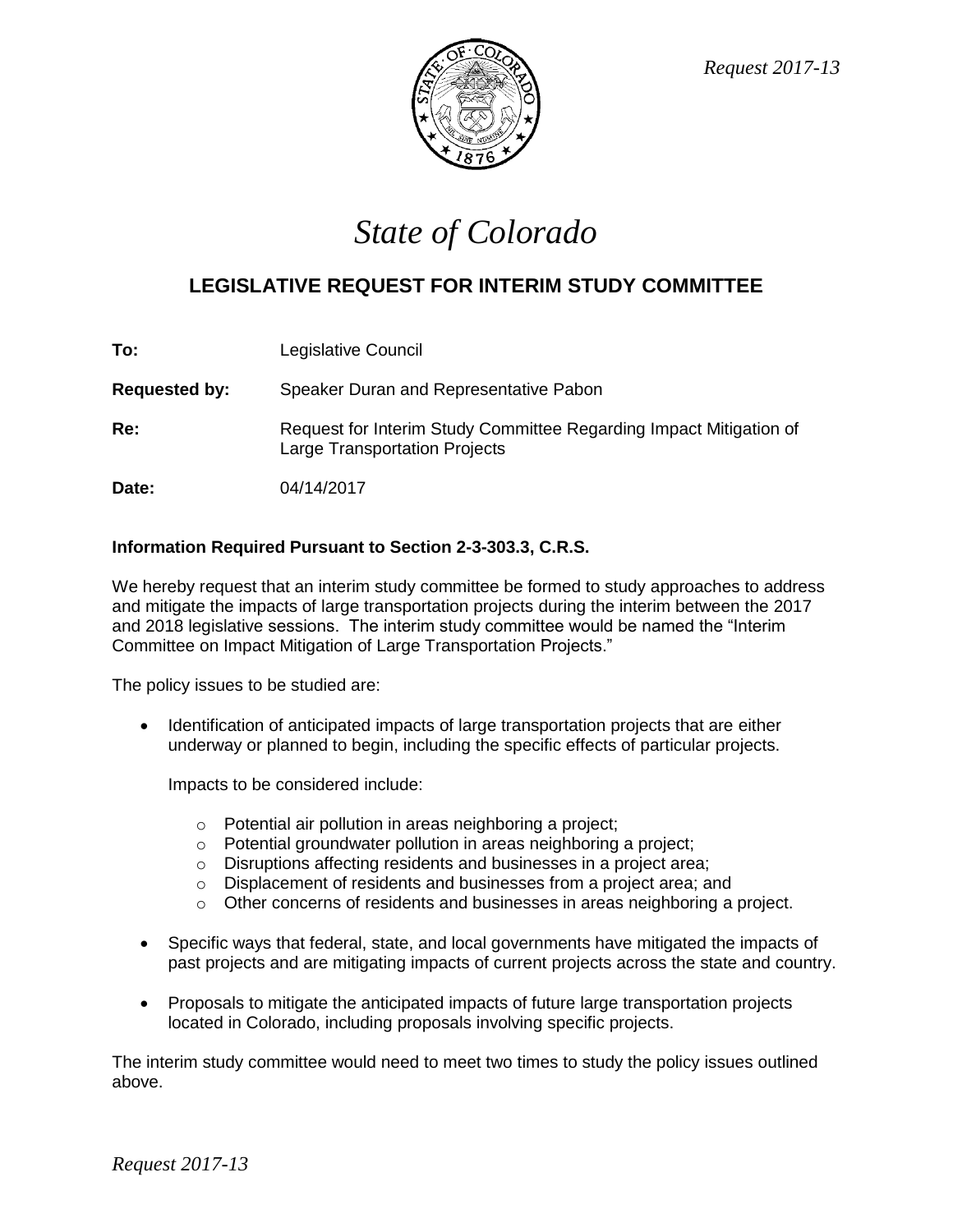

## *State of Colorado*

## **LEGISLATIVE REQUEST FOR INTERIM STUDY COMMITTEE**

| To:                  | Legislative Council                                                                                        |
|----------------------|------------------------------------------------------------------------------------------------------------|
| <b>Requested by:</b> | Speaker Duran and Representative Pabon                                                                     |
| Re:                  | Request for Interim Study Committee Regarding Impact Mitigation of<br><b>Large Transportation Projects</b> |
| Date:                | 04/14/2017                                                                                                 |

## **Information Required Pursuant to Section 2-3-303.3, C.R.S.**

We hereby request that an interim study committee be formed to study approaches to address and mitigate the impacts of large transportation projects during the interim between the 2017 and 2018 legislative sessions. The interim study committee would be named the "Interim Committee on Impact Mitigation of Large Transportation Projects."

The policy issues to be studied are:

• Identification of anticipated impacts of large transportation projects that are either underway or planned to begin, including the specific effects of particular projects.

Impacts to be considered include:

- o Potential air pollution in areas neighboring a project;
- o Potential groundwater pollution in areas neighboring a project;
- o Disruptions affecting residents and businesses in a project area;
- o Displacement of residents and businesses from a project area; and
- $\circ$  Other concerns of residents and businesses in areas neighboring a project.
- Specific ways that federal, state, and local governments have mitigated the impacts of past projects and are mitigating impacts of current projects across the state and country.
- Proposals to mitigate the anticipated impacts of future large transportation projects located in Colorado, including proposals involving specific projects.

The interim study committee would need to meet two times to study the policy issues outlined above.